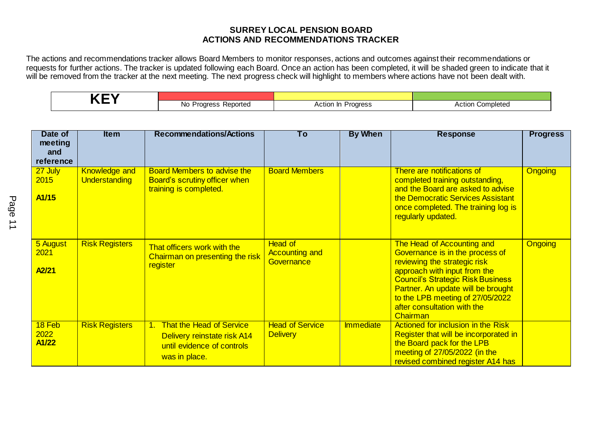## **SURREY LOCAL PENSION BOARD ACTIONS AND RECOMMENDATIONS TRACKER**

The actions and recommendations tracker allows Board Members to monitor responses, actions and outcomes against their recommendations or requests for further actions. The tracker is updated following each Board. Once an action has been completed, it will be shaded green to indicate that it will be removed from the tracker at the next meeting. The next progress check will highlight to members where actions have not been dealt with.

| No Pr<br>л.<br>voned.<br>$\overline{\phantom{0}}$ | the contract of the contract of the contract of the contract of the contract of | pieted |  |  |
|---------------------------------------------------|---------------------------------------------------------------------------------|--------|--|--|

| Date of<br>meeting<br>and             | <b>Item</b>                                  | <b>Recommendations/Actions</b>                                                                            | Τo                                                    | <b>By When</b>   | <b>Response</b>                                                                                                                                                                                                                                                                                | <b>Progress</b> |
|---------------------------------------|----------------------------------------------|-----------------------------------------------------------------------------------------------------------|-------------------------------------------------------|------------------|------------------------------------------------------------------------------------------------------------------------------------------------------------------------------------------------------------------------------------------------------------------------------------------------|-----------------|
| reference<br>27 July<br>2015<br>A1/15 | <b>Knowledge and</b><br><b>Understanding</b> | <b>Board Members to advise the</b><br>Board's scrutiny officer when<br>training is completed.             | <b>Board Members</b>                                  |                  | There are notifications of<br>completed training outstanding,<br>and the Board are asked to advise<br>the Democratic Services Assistant<br>once completed. The training log is<br>regularly updated.                                                                                           | <b>Ongoing</b>  |
| 5 August<br>2021<br>A2/21             | <b>Risk Registers</b>                        | That officers work with the<br>Chairman on presenting the risk<br>register                                | <b>Head of</b><br><b>Accounting and</b><br>Governance |                  | The Head of Accounting and<br>Governance is in the process of<br>reviewing the strategic risk<br>approach with input from the<br><b>Council's Strategic Risk Business</b><br>Partner. An update will be brought<br>to the LPB meeting of 27/05/2022<br>after consultation with the<br>Chairman | <b>Ongoing</b>  |
| 18 Feb<br>2022<br>A1/22               | <b>Risk Registers</b>                        | 1. That the Head of Service<br>Delivery reinstate risk A14<br>until evidence of controls<br>was in place. | <b>Head of Service</b><br><b>Delivery</b>             | <b>Immediate</b> | <b>Actioned for inclusion in the Risk</b><br>Register that will be incorporated in<br>the Board pack for the LPB<br>meeting of 27/05/2022 (in the<br>revised combined register A14 has                                                                                                         |                 |